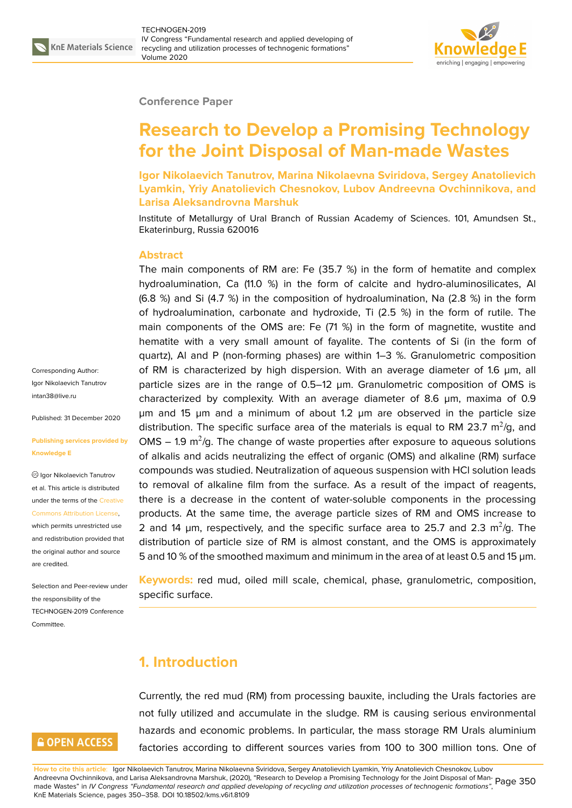

#### **Conference Paper**

# **Research to Develop a Promising Technology for the Joint Disposal of Man-made Wastes**

**Igor Nikolaevich Tanutrov, Marina Nikolaevna Sviridova, Sergey Anatolievich Lyamkin, Yriy Anatolievich Chesnokov, Lubov Andreevna Ovchinnikova, and Larisa Aleksandrovna Marshuk**

Institute of Metallurgy of Ural Branch of Russian Academy of Sciences. 101, Amundsen St., Ekaterinburg, Russia 620016

#### **Abstract**

The main components of RM are: Fe (35.7 %) in the form of hematite and complex hydroalumination, Ca (11.0 %) in the form of calcite and hydro-aluminosilicates, Al (6.8 %) and Si (4.7 %) in the composition of hydroalumination, Na (2.8 %) in the form of hydroalumination, carbonate and hydroxide, Ti (2.5 %) in the form of rutile. The main components of the OMS are: Fe (71 %) in the form of magnetite, wustite and hematite with a very small amount of fayalite. The contents of Si (in the form of quartz), Al and P (non-forming phases) are within 1–3 %. Granulometric composition of RM is characterized by high dispersion. With an average diameter of 1.6 µm, all particle sizes are in the range of 0.5–12 µm. Granulometric composition of OMS is characterized by complexity. With an average diameter of 8.6 µm, maxima of 0.9 µm and 15 µm and a minimum of about 1.2 µm are observed in the particle size distribution. The specific surface area of the materials is equal to RM 23.7  $\mathrm{m}^2/\mathrm{g}$ , and OMS  $-$  1.9 m<sup>2</sup>/g. The change of waste properties after exposure to aqueous solutions of alkalis and acids neutralizing the effect of organic (OMS) and alkaline (RM) surface compounds was studied. Neutralization of aqueous suspension with HCl solution leads to removal of alkaline film from the surface. As a result of the impact of reagents, there is a decrease in the content of water-soluble components in the processing products. At the same time, the average particle sizes of RM and OMS increase to 2 and 14  $\mu$ m, respectively, and the specific surface area to 25.7 and 2.3 m<sup>2</sup>/g. The distribution of particle size of RM is almost constant, and the OMS is approximately 5 and 10 % of the smoothed maximum and minimum in the area of at least 0.5 and 15 µm.

**Keywords:** red mud, oiled mill scale, chemical, phase, granulometric, composition, specific surface.

### **1. Introduction**

Currently, the red mud (RM) from processing bauxite, including the Urals factories are not fully utilized and accumulate in the sludge. RM is causing serious environmental hazards and economic problems. In particular, the mass storage RM Urals aluminium factories according to different sources varies from 100 to 300 million tons. One of

Corresponding Author: Igor Nikolaevich Tanutrov intan38@live.ru

Published: 31 December 2020

#### **[Publishing serv](mailto:intan38@live.ru)ices provided by Knowledge E**

Igor Nikolaevich Tanutrov et al. This article is distributed under the terms of the Creative Commons Attribution License,

which permits unrestricted use and redistribution provided that the original author and [source](https://creativecommons.org/licenses/by/4.0/) [are credited.](https://creativecommons.org/licenses/by/4.0/)

Selection and Peer-review under the responsibility of the TECHNOGEN-2019 Conference **Committee** 

### **GOPEN ACCESS**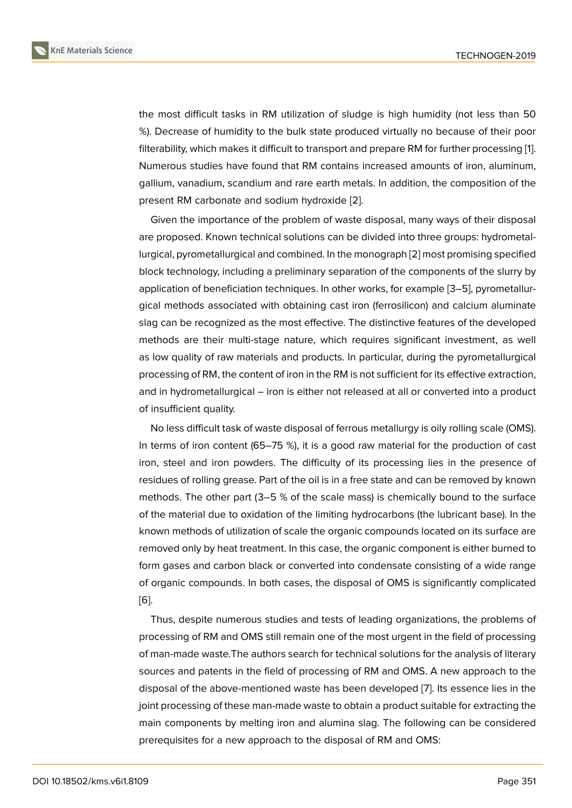the most difficult tasks in RM utilization of sludge is high humidity (not less than 50 %). Decrease of humidity to the bulk state produced virtually no because of their poor filterability, which makes it difficult to transport and prepare RM for further processing [1]. Numerous studies have found that RM contains increased amounts of iron, aluminum, gallium, vanadium, scandium and rare earth metals. In addition, the composition of the present RM carbonate and sodium hydroxide [2].

Given the importance of the problem of waste disposal, many ways of their disposal are proposed. Known technical solutions can be divided into three groups: hydrometallurgical, pyrometallurgical and combined. In the [m](#page-7-0)onograph [2] most promising specified block technology, including a preliminary separation of the components of the slurry by application of beneficiation techniques. In other works, for example [3–5], pyrometallurgical methods associated with obtaining cast iron (ferrosili[co](#page-7-0)n) and calcium aluminate slag can be recognized as the most effective. The distinctive features of the developed methods are their multi-stage nature, which requires significant i[nv](#page-7-1)[es](#page-7-2)tment, as well as low quality of raw materials and products. In particular, during the pyrometallurgical processing of RM, the content of iron in the RM is not sufficient for its effective extraction, and in hydrometallurgical – iron is either not released at all or converted into a product of insufficient quality.

No less difficult task of waste disposal of ferrous metallurgy is oily rolling scale (OMS). In terms of iron content (65–75 %), it is a good raw material for the production of cast iron, steel and iron powders. The difficulty of its processing lies in the presence of residues of rolling grease. Part of the oil is in a free state and can be removed by known methods. The other part (3–5 % of the scale mass) is chemically bound to the surface of the material due to oxidation of the limiting hydrocarbons (the lubricant base). In the known methods of utilization of scale the organic compounds located on its surface are removed only by heat treatment. In this case, the organic component is either burned to form gases and carbon black or converted into condensate consisting of a wide range of organic compounds. In both cases, the disposal of OMS is significantly complicated [6].

Thus, despite numerous studies and tests of leading organizations, the problems of processing of RM and OMS still remain one of the most urgent in the field of processing [of](#page-7-3) man-made waste.The authors search for technical solutions for the analysis of literary sources and patents in the field of processing of RM and OMS. A new approach to the disposal of the above-mentioned waste has been developed [7]. Its essence lies in the joint processing of these man-made waste to obtain a product suitable for extracting the main components by melting iron and alumina slag. The following can be considered prerequisites for a new approach to the disposal of RM and O[M](#page-7-4)S: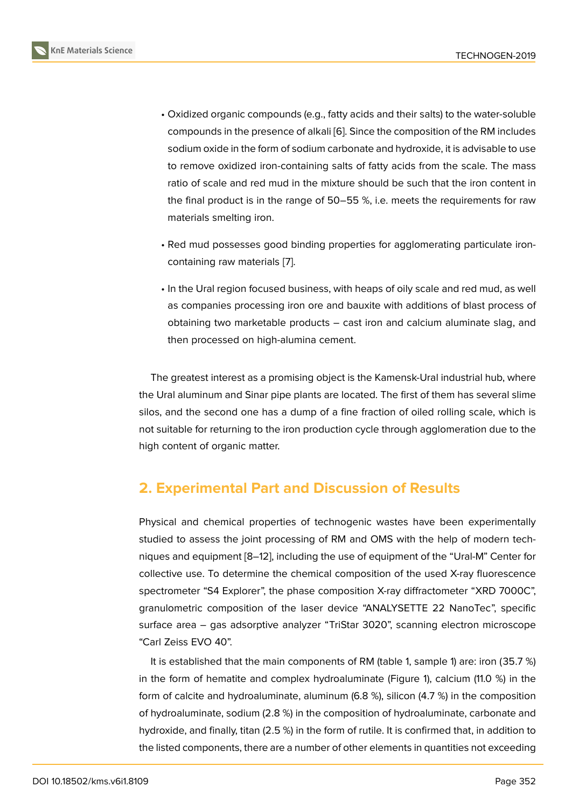- Oxidized organic compounds (e.g., fatty acids and their salts) to the water-soluble compounds in the presence of alkali [6]. Since the composition of the RM includes sodium oxide in the form of sodium carbonate and hydroxide, it is advisable to use to remove oxidized iron-containing salts of fatty acids from the scale. The mass ratio of scale and red mud in the mi[xtu](#page-7-3)re should be such that the iron content in the final product is in the range of 50–55 %, i.e. meets the requirements for raw materials smelting iron.
- Red mud possesses good binding properties for agglomerating particulate ironcontaining raw materials [7].
- In the Ural region focused business, with heaps of oily scale and red mud, as well as companies processing [ir](#page-7-4)on ore and bauxite with additions of blast process of obtaining two marketable products – cast iron and calcium aluminate slag, and then processed on high-alumina cement.

The greatest interest as a promising object is the Kamensk-Ural industrial hub, where the Ural aluminum and Sinar pipe plants are located. The first of them has several slime silos, and the second one has a dump of a fine fraction of oiled rolling scale, which is not suitable for returning to the iron production cycle through agglomeration due to the high content of organic matter.

### **2. Experimental Part and Discussion of Results**

Physical and chemical properties of technogenic wastes have been experimentally studied to assess the joint processing of RM and OMS with the help of modern techniques and equipment [8–12], including the use of equipment of the "Ural-M" Center for collective use. To determine the chemical composition of the used X-ray fluorescence spectrometer "S4 Explorer", the phase composition X-ray diffractometer "XRD 7000C", granulometric composi[tio](#page-7-5)[n o](#page-8-0)f the laser device "ANALYSETTE 22 NanoTec", specific surface area – gas adsorptive analyzer "TriStar 3020", scanning electron microscope "Carl Zeiss EVO 40".

It is established that the main components of RM (table 1, sample 1) are: iron (35.7 %) in the form of hematite and complex hydroaluminate (Figure 1), calcium (11.0 %) in the form of calcite and hydroaluminate, aluminum (6.8 %), silicon (4.7 %) in the composition of hydroaluminate, sodium (2.8 %) in the composition of hydroaluminate, carbonate and hydroxide, and finally, titan (2.5 %) in the form of rutile. It is con[fir](#page-4-0)med that, in addition to the listed components, there are a number of other elements in quantities not exceeding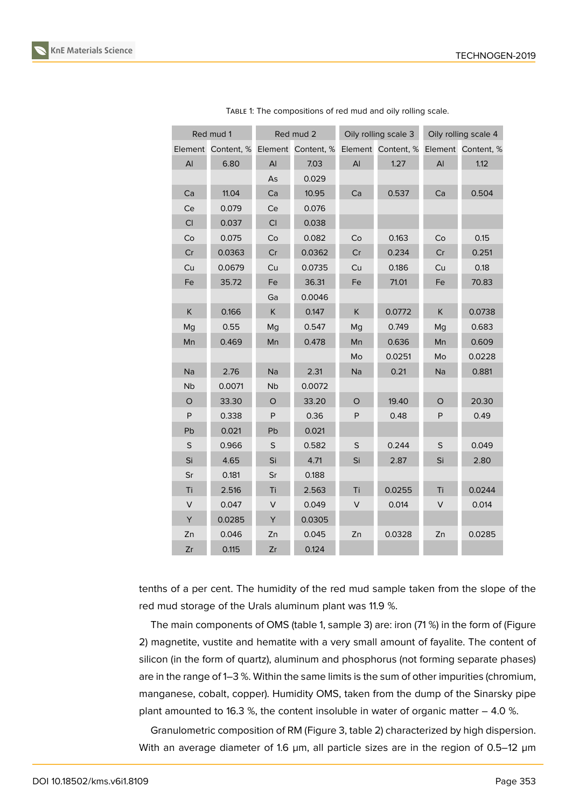| Red mud 1   |            | Red mud 2 |                    | Oily rolling scale 3 |                    | Oily rolling scale 4 |                    |
|-------------|------------|-----------|--------------------|----------------------|--------------------|----------------------|--------------------|
| Element     | Content, % |           | Element Content, % |                      | Element Content, % |                      | Element Content, % |
| AI          | 6.80       | Al        | 7.03               | AI                   | 1.27               | AI                   | 1.12               |
|             |            | As        | 0.029              |                      |                    |                      |                    |
| Ca          | 11.04      | Ca        | 10.95              | Ca                   | 0.537              | Ca                   | 0.504              |
| Ce          | 0.079      | Ce        | 0.076              |                      |                    |                      |                    |
| CI          | 0.037      | CI        | 0.038              |                      |                    |                      |                    |
| Co          | 0.075      | Co        | 0.082              | Co                   | 0.163              | Co                   | 0.15               |
| Cr          | 0.0363     | Cr        | 0.0362             | Cr                   | 0.234              | Cr                   | 0.251              |
| Cu          | 0.0679     | Cu        | 0.0735             | Cu                   | 0.186              | Cu                   | 0.18               |
| Fe          | 35.72      | Fe        | 36.31              | Fe                   | 71.01              | Fe                   | 70.83              |
|             |            | Ga        | 0.0046             |                      |                    |                      |                    |
| Κ           | 0.166      | K         | 0.147              | K                    | 0.0772             | K.                   | 0.0738             |
| Mg          | 0.55       | Mg        | 0.547              | Mg                   | 0.749              | Mg                   | 0.683              |
| Mn          | 0.469      | Mn        | 0.478              | Mn                   | 0.636              | Mn                   | 0.609              |
|             |            |           |                    | Mo                   | 0.0251             | Mo                   | 0.0228             |
| Na          | 2.76       | Na        | 2.31               | Na                   | 0.21               | Na                   | 0.881              |
| <b>Nb</b>   | 0.0071     | <b>Nb</b> | 0.0072             |                      |                    |                      |                    |
| $\circ$     | 33.30      | $\circ$   | 33.20              | O                    | 19.40              | O                    | 20.30              |
| P           | 0.338      | P         | 0.36               | P                    | 0.48               | P                    | 0.49               |
| Pb          | 0.021      | Pb        | 0.021              |                      |                    |                      |                    |
| $\mathsf S$ | 0.966      | $\sf S$   | 0.582              | $\mathsf S$          | 0.244              | $\sf S$              | 0.049              |
| Si          | 4.65       | Si        | 4.71               | Si                   | 2.87               | Si                   | 2.80               |
| Sr          | 0.181      | Sr        | 0.188              |                      |                    |                      |                    |
| Ti          | 2.516      | Ti        | 2.563              | Ti                   | 0.0255             | Ti                   | 0.0244             |
| V           | 0.047      | V         | 0.049              | V                    | 0.014              | V                    | 0.014              |
| Υ           | 0.0285     | Υ         | 0.0305             |                      |                    |                      |                    |
| Zn          | 0.046      | Zn        | 0.045              | Zn                   | 0.0328             | Zn                   | 0.0285             |
| Zr          | 0.115      | Zr        | 0.124              |                      |                    |                      |                    |

TABLE 1: The compositions of red mud and oily rolling scale.

tenths of a per cent. The humidity of the red mud sample taken from the slope of the red mud storage of the Urals aluminum plant was 11.9 %.

The main components of OMS (table 1, sample 3) are: iron (71 %) in the form of (Figure 2) magnetite, vustite and hematite with a very small amount of fayalite. The content of silicon (in the form of quartz), aluminum and phosphorus (not forming separate phases) are in the range of 1–3 %. Within the same limits is the sum of other impurities (chromium, [m](#page-4-1)anganese, cobalt, copper). Humidity OMS, taken from the dump of the Sinarsky pipe plant amounted to 16.3 %, the content insoluble in water of organic matter  $-4.0$  %.

Granulometric composition of RM (Figure 3, table 2) characterized by high dispersion. With an average diameter of 1.6 µm, all particle sizes are in the region of 0.5–12 µm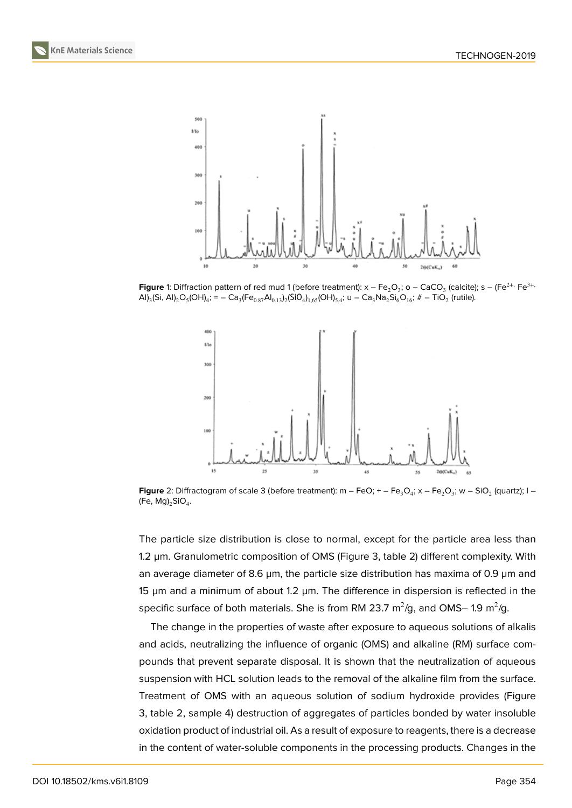

**Figure** 1: Diffraction pattern of red mud 1 (before treatment): x – Fe $_2$ O $_3$ ; o – CaCO $_3$  (calcite); s – (Fe $^{2+}$ , Fe $^{3+}$  $\textsf{AI}_{3}$ (Si,  $\textsf{AI}_{2}\textsf{O}_{5}(\textsf{OH})_{4}$ ; =  $-\textsf{Ca}_{3}$ (Fe $_{0.87}$ Al $_{0.13}$ ) $_{2}$ (SiO $_{4}$ ) $_{1,65}$ (OH) $_{5.4}$ ; u  $-\textsf{Ca}_{3}$ Na $_{2}$ Si $_{6}$ O $_{16}$ ; #  $-$  TiO $_{2}$  (rutile).

<span id="page-4-0"></span>

**Figure** 2: Diffractogram of scale 3 (before treatment): m – FeO; + – Fe<sub>3</sub>O<sub>4</sub>; x – Fe<sub>2</sub>O<sub>3</sub>; w – SiO<sub>2</sub> (quartz); I – (Fe, Mg) $_2$ SiO $_4$ .

<span id="page-4-1"></span>The particle size distribution is close to normal, except for the particle area less than 1.2 µm. Granulometric composition of OMS (Figure 3, table 2) different complexity. With an average diameter of 8.6  $\mu$ m, the particle size distribution has maxima of 0.9  $\mu$ m and 15 µm and a minimum of about 1.2 µm. The difference in dispersion is reflected in the specific surface of both materials. She is from RM [23](#page-5-0).7 m $^2$ /g, and OMS– 1.9 m $^2$ /g.

The change in the properties of waste after exposure to aqueous solutions of alkalis and acids, neutralizing the influence of organic (OMS) and alkaline (RM) surface compounds that prevent separate disposal. It is shown that the neutralization of aqueous suspension with HCL solution leads to the removal of the alkaline film from the surface. Treatment of OMS with an aqueous solution of sodium hydroxide provides (Figure 3, table 2, sample 4) destruction of aggregates of particles bonded by water insoluble oxidation product of industrial oil. As a result of exposure to reagents, there is a decrease in the content of water-soluble components in the processing products. Changes in the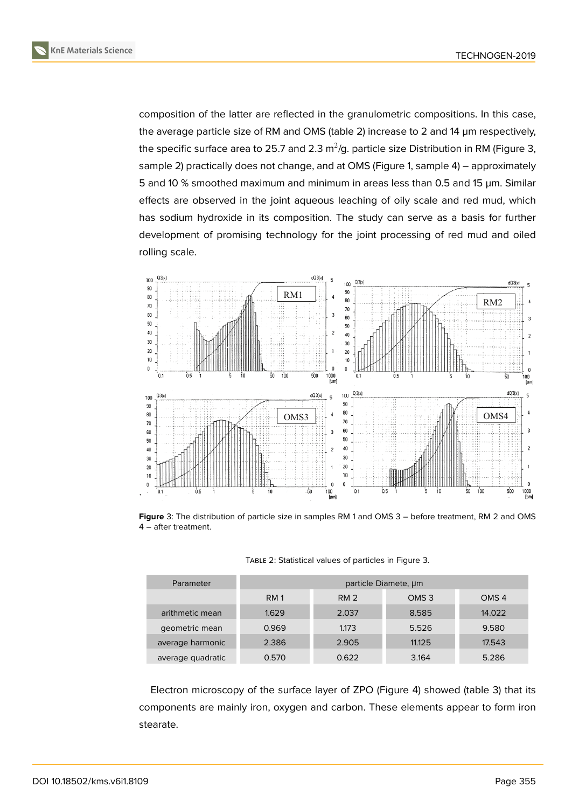composition of the latter are reflected in the granulometric compositions. In this case, the average particle size of RM and OMS (table 2) increase to 2 and 14 µm respectively, the specific surface area to 25.7 and 2.3 m $^2$ /g. particle size Distribution in RM (Figure 3, sample 2) practically does not change, and at OMS (Figure 1, sample 4) – approximately 5 and 10 % smoothed maximum and minimum in areas less than 0.5 and 15 µm. Similar effects are observed in the joint aqueous leaching of oily scale and red mud, whi[ch](#page-5-0) has sodium hydroxide in its composition. The study can [s](#page-4-0)erve as a basis for further development of promising technology for the joint processing of red mud and oiled rolling scale.



**Figure** 3: The distribution of particle size in samples RM 1 and OMS 3 – before treatment, RM 2 and OMS 4 – after treatment.

| TABLE 2: Statistical values of particles in Figure 3. |  |  |
|-------------------------------------------------------|--|--|
|-------------------------------------------------------|--|--|

<span id="page-5-0"></span>

| Parameter         | particle Diamete, um |                 |                  |                  |  |
|-------------------|----------------------|-----------------|------------------|------------------|--|
|                   | <b>RM 1</b>          | RM <sub>2</sub> | OMS <sub>3</sub> | OMS <sub>4</sub> |  |
| arithmetic mean   | 1.629                | 2.037           | 8.585            | 14.022           |  |
| geometric mean    | 0.969                | 1.173           | 5.526            | 9.580            |  |
| average harmonic  | 2.386                | 2.905           | 11.125           | 17.543           |  |
| average quadratic | 0.570                | 0.622           | 3.164            | 5.286            |  |

Electron microscopy of the surface layer of ZPO (Figure 4) showed (table 3) that its components are mainly iron, oxygen and carbon. These elements appear to form iron stearate.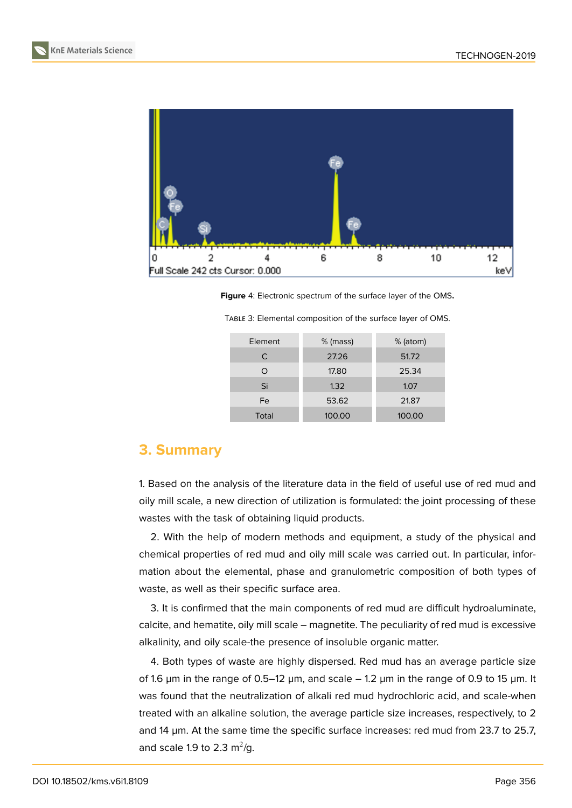



**Figure** 4: Electronic spectrum of the surface layer of the OMS**.**

| Element | % (mass) | % (atom) |  |
|---------|----------|----------|--|
| С       | 27.26    | 51.72    |  |
| ∩       | 17.80    | 25.34    |  |
| Si      | 1.32     | 1.07     |  |
| Fe      | 53.62    | 21.87    |  |
| Total   | 100.00   | 100.00   |  |

TABLE 3: Elemental composition of the surface layer of OMS.

### **3. Summary**

1. Based on the analysis of the literature data in the field of useful use of red mud and oily mill scale, a new direction of utilization is formulated: the joint processing of these wastes with the task of obtaining liquid products.

2. With the help of modern methods and equipment, a study of the physical and chemical properties of red mud and oily mill scale was carried out. In particular, information about the elemental, phase and granulometric composition of both types of waste, as well as their specific surface area.

3. It is confirmed that the main components of red mud are difficult hydroaluminate, calcite, and hematite, oily mill scale – magnetite. The peculiarity of red mud is excessive alkalinity, and oily scale-the presence of insoluble organic matter.

4. Both types of waste are highly dispersed. Red mud has an average particle size of 1.6  $\mu$ m in the range of 0.5–12  $\mu$ m, and scale – 1.2  $\mu$ m in the range of 0.9 to 15  $\mu$ m. It was found that the neutralization of alkali red mud hydrochloric acid, and scale-when treated with an alkaline solution, the average particle size increases, respectively, to 2 and 14 µm. At the same time the specific surface increases: red mud from 23.7 to 25.7, and scale 1.9 to 2.3  $\mathrm{m}^2/\mathrm{g}$ .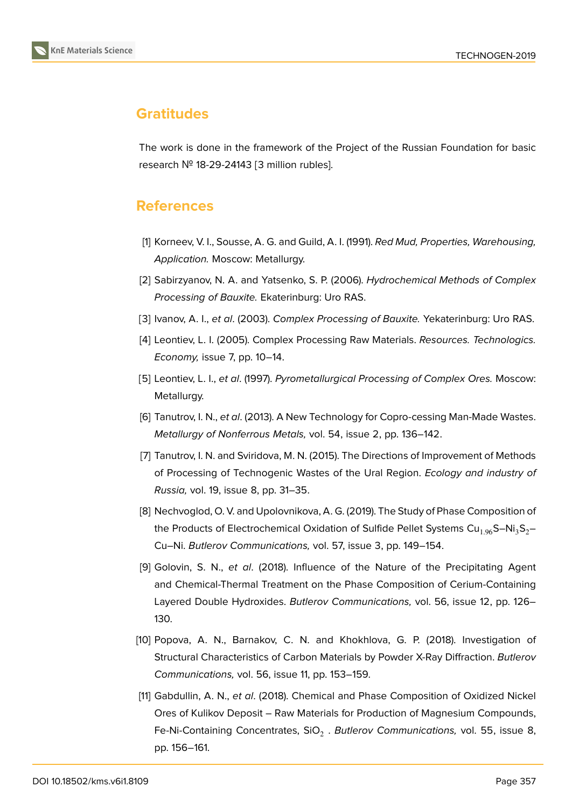

# **Gratitudes**

The work is done in the framework of the Project of the Russian Foundation for basic research № 18-29-24143 [3 million rubles].

# **References**

- [1] Korneev, V. I., Sousse, A. G. and Guild, A. I. (1991). *Red Mud, Properties, Warehousing, Application.* Moscow: Metallurgy.
- <span id="page-7-0"></span>[2] Sabirzyanov, N. A. and Yatsenko, S. P. (2006). *Hydrochemical Methods of Complex Processing of Bauxite.* Ekaterinburg: Uro RAS.
- <span id="page-7-1"></span>[3] Ivanov, A. I., *et al*. (2003). *Complex Processing of Bauxite.* Yekaterinburg: Uro RAS.
- [4] Leontiev, L. I. (2005). Complex Processing Raw Materials. *Resources. Technologics. Economy,* issue 7, pp. 10–14.
- <span id="page-7-2"></span>[5] Leontiev, L. I., *et al*. (1997). *Pyrometallurgical Processing of Complex Ores.* Moscow: Metallurgy.
- <span id="page-7-3"></span>[6] Tanutrov, I. N., *et al*. (2013). A New Technology for Copro-cessing Man-Made Wastes. *Metallurgy of Nonferrous Metals,* vol. 54, issue 2, pp. 136–142.
- <span id="page-7-4"></span>[7] Tanutrov, I. N. and Sviridova, M. N. (2015). The Directions of Improvement of Methods of Processing of Technogenic Wastes of the Ural Region. *Ecology and industry of Russia,* vol. 19, issue 8, pp. 31–35.
- <span id="page-7-5"></span>[8] Nechvoglod, O. V. and Upolovnikova, A. G. (2019). The Study of Phase Composition of the Products of Electrochemical Oxidation of Sulfide Pellet Systems Cu<sub>1.96</sub>S–Ni<sub>3</sub>S<sub>2</sub>– Cu–Ni. *Butlerov Communications,* vol. 57, issue 3, pp. 149–154.
- [9] Golovin, S. N., *et al*. (2018). Influence of the Nature of the Precipitating Agent and Chemical-Thermal Treatment on the Phase Composition of Cerium-Containing Layered Double Hydroxides. *Butlerov Communications,* vol. 56, issue 12, pp. 126– 130.
- [10] Popova, A. N., Barnakov, C. N. and Khokhlova, G. P. (2018). Investigation of Structural Characteristics of Carbon Materials by Powder X-Ray Diffraction. *Butlerov Communications,* vol. 56, issue 11, pp. 153–159.
- [11] Gabdullin, A. N., *et al*. (2018). Chemical and Phase Composition of Oxidized Nickel Ores of Kulikov Deposit – Raw Materials for Production of Magnesium Compounds, Fe-Ni-Containing Concentrates, SiO<sub>2</sub> . *Butlerov Communications, vol.* 55, issue 8, pp. 156–161.